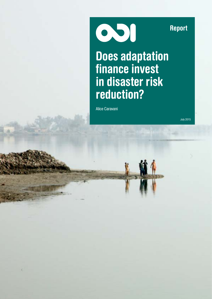Report

051

Does adaptation finance invest in disaster risk reduction?

Alice Caravani

July 2015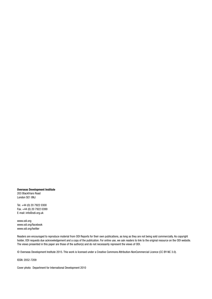Overseas Development Institute 203 Blackfriars Road London SE1 8NJ

Tel. +44 (0) 20 7922 0300 Fax. +44 (0) 20 7922 0399 E-mail: [info@odi.org.uk](mailto:info@odi.org.uk)

<www.odi.org> <www.odi.org/facebook> <www.odi.org/twitter>

Readers are encouraged to reproduce material from ODI Reports for their own publications, as long as they are not being sold commercially. As copyright holder, ODI requests due acknowledgement and a copy of the publication. For online use, we ask readers to link to the original resource on the ODI website. The views presented in this paper are those of the author(s) and do not necessarily represent the views of ODI.

© Overseas Development Institute 2015. This work is licensed under a Creative Commons Attribution-NonCommercial Licence (CC BY-NC 3.0).

ISSN: 2052-7209

Cover photo: Department for International Development 2010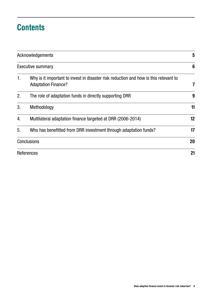### **Contents**

| Acknowledgements<br><b>Executive summary</b> |                                                                  |    |  |  |
|----------------------------------------------|------------------------------------------------------------------|----|--|--|
|                                              |                                                                  |    |  |  |
| 2.                                           | The role of adaptation funds in directly supporting DRR          | 9  |  |  |
| 3.                                           | Methodology                                                      | 11 |  |  |
| 4.                                           | Multilateral adaptation finance targeted at DRR (2006-2014)      | 12 |  |  |
| 5.                                           | Who has benefitted from DRR investment through adaptation funds? | 17 |  |  |
|                                              | <b>Conclusions</b>                                               | 20 |  |  |
|                                              | References                                                       |    |  |  |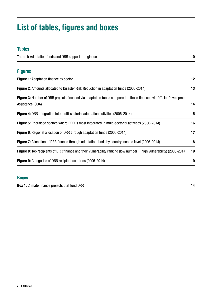### List of tables, figures and boxes

### Tables Table 1: [Adaptation funds and DRR support at a glance](#page-9-0) 10 and 10 and 10 and 10 and 10 and 10 and 10 and 10 and 10 and 10 and 10 and 10 and 10 and 10 and 10 and 10 and 10 and 10 and 10 and 10 and 10 and 10 and 10 and 10 and Figures **Figure 1:** [Adaptation finance by sector](#page-11-0) 12 Figure 2: [Amounts allocated to Disaster Risk Reduction in adaptation funds \(2006-2014\)](#page-12-0) 13 Figure 3: Number of DRR projects financed via adaptation funds compared to those financed via Official Development [Assistance \(ODA\)](#page-12-0) 14 Figure 4: [DRR integration into multi-sectorial adaptation activities \(2006-2014\)](#page-14-0) 15 Figure 5: [Prioritised sectors where DRR is most integrated in multi-sectorial activities \(2006-2014\)](#page-15-0) 16 Figure 6: [Regional allocation of DRR through adaptation funds \(2006-2014\)](#page-16-0) 17 Figure 7: [Allocation of DRR finance through adaptation funds by country income level \(2006-2014\)](#page-17-0) 18 Figure 8: [Top recipients of DRR finance and their vulnerability ranking \(low number = high vulnerability\) \(2006-2014\)](#page-17-0) 19 Figure 9: [Categories of DRR recipient countries \(2006-2014\)](#page-19-0) 19

### Boxes

Box 1: [Climate finance projects that fund DRR](#page-13-0) 14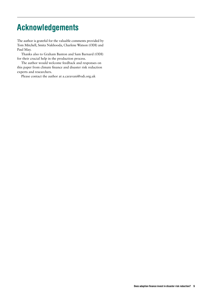### <span id="page-4-0"></span>Acknowledgements

The author is grateful for the valuable comments provided by Tom Mitchell, Smita Nakhooda, Charlene Watson (ODI) and Paul May.

Thanks also to Graham Banton and Sam Barnard (ODI) for their crucial help in the production process.

The author would welcome feedback and responses on this paper from climate finance and disaster risk reduction experts and researchers.

Please contact the author at [a.caravani@odi.org.u](mailto:a.caravani@odi.org.uk)k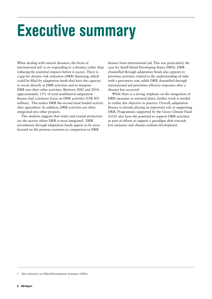## <span id="page-5-0"></span>Executive summary

When dealing with natural disasters, the focus of international aid<sup>1</sup> is on responding to a disaster, rather than reducing the potential impacts before it occurs. There is a gap for disaster risk reduction (DRR) financing, which could be filled by adaptation funds that have the capacity to invest directly in DRR activities and to integrate DRR into their other activities. Between 2002 and 2014, approximately 13% of total multilateral adaptation finance had a primary focus on DRR activities (US\$ 405 million). This makes DRR the second most funded activity after agriculture. In addition, DRR activities are often integrated into other projects.

This analysis suggests that water and coastal protection are the sectors where DRR is most integrated. DRR investments through adaptation funds appear to be more focused on the poorest countries in comparison to DRR

finance from international aid. This was particularly the case for Small Island Developing States (SIDS). DRR channelled through adaptation funds also appears to prioritise activities related to the understanding of risks with a preventive aim, while DRR channelled through international aid prioritises effective responses after a disaster has occurred.

While there is a strong emphasis on the integration of DRR measures in national plans, further work is needed to realise this objective in practice. Overall, adaptation finance is already playing an important role in supporting DRR. Programmes supported by the Green Climate Fund (GCF) also have the potential to support DRR activities as part of efforts to support a paradigm shift towards low-emission and climate-resilient development.

<sup>1</sup> Also referred to as Official Development Assistance (ODA).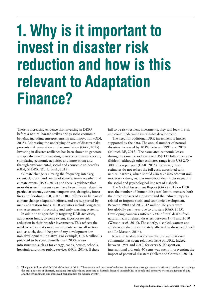## <span id="page-6-0"></span>1. Why is it important to invest in disaster risk reduction and how is this relevant to Adaptation Finance?

There is increasing evidence that investing in DRR<sup>2</sup> before a natural hazard strikes brings socio-economic benefits, including entrepreneurship and innovation (ODI, 2015). Addressing the underlying drivers of disaster risks prevents risk generation and accumulation (GAR, 2015). Investing in disaster resilience has been shown to generate a 'triple dividend' by avoiding losses once disasters occur; stimulating economic activities and innovation; and through environmental, social and economic co-benefits (ODI, GFDRR, World Bank, 2015).

Climate change is altering the frequency, intensity, extent, duration and timing of some extreme weather and climate events (IPCC, 2012) and there is evidence that most disasters in recent years have been climate related: in particular storms, extreme temperatures, droughts, forest fires and flooding (ODI, 2015). DRR efforts can be part of climate change adaptation efforts, and are supported by many adaptation funds. DRR activities include long-term risk assessments, forecasting and early warning systems.

In addition to specifically targeting DRR activities, adaptation funds, to some extent, incorporate risk reduction in their broader investments. This reflects the need to reduce risks in all investments across all sectors and, as such, should be part of any development (or non-development) initiative. For example, US\$ 6 trillion is predicted to be spent annually until 2030 on new infrastructure, such as for energy, roads, houses, schools, hospitals and other public services (NCE, 2014). If these

fail to be risk resilient investments, they will lock-in risk and could undermine sustainable development.

The need for additional DRR investment is further supported by the data. The annual number of natural disasters increased by 103% between 1991 and 2010 (Munich RE, 2013). The associated economic losses during the same period averaged US\$ 117 billion per year (Ibidem), although other estimates range from US\$ 250 - 300 billion per year (GAR, 2015). However, these estimates do not reflect the full costs associated with natural hazards, which should also take into account nonmonetary values, such as number of deaths per event and the social and psychological impacts of a shock.

The Global Assessment Report (GAR) 2015 on DRR uses the number of 'human life years' lost to measure both the direct impacts of a disaster and the indirect impacts related to forgone social and economic development. Between 1980 and 2012, 42 million life years were lost globally each year due to disasters (GAR 2015). Developing countries suffered 93% of total deaths from natural hazard related disasters between 1991 and 2010 (Watson et al., 2015). The elderly, disabled, women and children are disproportionately affected by disasters (Lovell and Le Masson, 2014).

Research to date has shown that the international community has spent relatively little on DRR. Indeed, between 1991 and 2010, for every \$100 spent on international aid, only 40 cents was spent in preventing the impact of potential disasters (Kellett and Caravani, 2013).

<sup>2</sup> This paper follows the UNISDR definition of DRR: "The concept and practice of reducing disaster risks through systematic efforts to analyse and manage the causal factors of disasters, including through reduced exposure to hazards, lessened vulnerability of people and property, wise management of land and the environment, and improved preparedness for adverse events".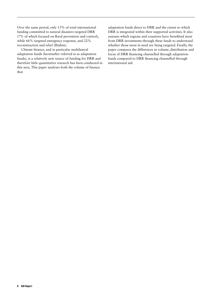Over the same period, only 13% of total international funding committed to natural disasters targeted DRR (7% of which focused on flood prevention and control), while 66% targeted emergency response, and 22% reconstruction and relief (Ibidem).

Climate finance, and in particular multilateral adaptation funds (hereinafter referred to as adaptation funds), is a relatively new source of funding for DRR and therefore little quantitative research has been conducted in this area. This paper analyses both the volume of finance that

adaptation funds direct to DRR and the extent to which DRR is integrated within their supported activities. It also assesses which regions and countries have benefitted most from DRR investments through these funds to understand whether those most in need are being targeted. Finally, the paper compares the differences in volume, distribution and focus of DRR financing channelled through adaptation funds compared to DRR financing channelled through international aid.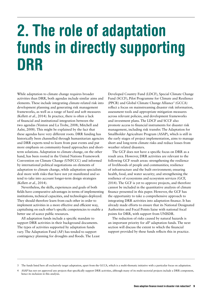### <span id="page-8-0"></span>2. The role of adaptation funds in directly supporting DRR

While adaptation to climate change requires broader activities than DRR, both agendas include similar aims and elements. These include integrating climate-related risk into development planning and generating risk management frameworks, as well as a range of hard and soft measures (Kellett *et al.,* 2014). In practice, there is often a lack of financial and institutional integration between the two agendas (Venton and La Trobe, 2008; Mitchell and Aalst, 2008). This might be explained by the fact that these agendas have very different roots. DRR funding has historically been channelled through humanitarian agencies and DRR experts tend to learn from past events and put more emphasis on community-based approaches and shortterm solutions. Adaptation to climate change, on the other hand, has been rooted in the United Nations Framework Convention on Climate Change (UNFCCC) and informed by international political negotiations on elements of adaptation to climate change, while adaptation specialists deal more with risks that have not yet manifested and so tend to take into account longer-term design strategies (Kellett *et al.,* 2014).

Nevertheless, the skills, experiences and goals of both fields have comparative advantages in terms of implementing institutions, technical capacities, and technologies deployed. They should therefore learn from each other in order to implement activities in a more effective and efficient way, capitalising on each other's specific competencies to enable a better use of scarce public resources.

All adaptation funds include a specific mandate to support DRR activities in their background documents. The types of activities supported by adaptation funds vary. The Adaptation Fund (AF) has tended to support contingency planning for droughts and floods. The Least Developed Country Fund (LDCF), Special Climate Change Fund (SCCF), Pilot Programme for Climate and Resilience (PPCR) and Global Climate Change Alliance<sup>3</sup> (GCCA) reflect a focus on mainstreaming disaster risk information, assessment tools and appropriate mitigation measures across relevant policies, and development frameworks and investment plans. The LDCF and SCCF also promote access to financial instruments for disaster risk management, including risk transfer. The Adaptation for Smallholder Agriculture Program (ASAP), which is still in the early stages of project implementation, aims to manage short and long-term climate risks and reduce losses from weather related disasters.

The GCF does not have a specific focus on DRR as a result area. However, DRR activities are relevant to the following GCF result areas: strengthening the resilience of livelihoods of people and communities; resilience of infrastructure and the built environment; ensuring health, food, and water security; and strengthening the resilience of ecosystems and ecosystem services (GCF, 2014). The GCF is yet to approve projects, and therefore cannot be included in the quantitative analysis of climate finance presented in this paper. However, the GCF has the opportunity to take a comprehensive approach to integrating DRR activities into adaptation finance. It has already made efforts to ensure that its National Designated Authorities and Focal Points liaise with national focal points for DRR, with support from UNISDR.

The reduction of risks caused by natural hazards is an important priority for all<sup>4</sup> adaptation funds. The next section will discuss the extent to which the financial support provided by these funds reflects this in practice.

<sup>3</sup> The funds listed here all exclusively target adaptation, apart from the GCCA, which is a multi-thematic initiative with a particular focus on adaptation.

<sup>4</sup> ASAP has not yet approved any projects that specifically support DRR activities, although many of its multi-sectorial projects include a DRR component, hence its inclusion in this analysis.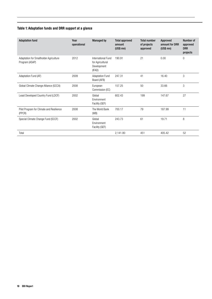#### <span id="page-9-0"></span>Table 1: Adaptation funds and DRR support at a glance

| <b>Adaptation fund</b>                                   | Year<br>operational | <b>Managed by</b>                                               | <b>Total approved</b><br>amount<br>$(US$$ mn $)$ | <b>Total number</b><br>of projects<br>approved | Approved<br>amount for DRR<br>$(US$$ mn $)$ | Number of<br>approved<br><b>DRR</b><br>projects |
|----------------------------------------------------------|---------------------|-----------------------------------------------------------------|--------------------------------------------------|------------------------------------------------|---------------------------------------------|-------------------------------------------------|
| Adaptation for Smallholder Agriculture<br>Program (ASAP) | 2012                | International Fund<br>for Agricultural<br>Development<br>(IFAD) | 190.91                                           | 21                                             | 0.00                                        | $\mathbf 0$                                     |
| Adaptation Fund (AF)                                     | 2009                | <b>Adaptation Fund</b><br>Board (AFB)                           | 247.31                                           | 41                                             | 16.40                                       | 3                                               |
| Global Climate Change Alliance (GCCA)                    | 2008                | European<br>Commission (EC)                                     | 157.25                                           | 50                                             | 33.66                                       | 3                                               |
| Least Developed Country Fund (LDCF)                      | 2002                | Global<br>Environment<br>Facility (GEF)                         | 602.43                                           | 199                                            | 147.67                                      | 27                                              |
| Pilot Program for Climate and Resilience<br>(PPCR)       | 2008                | The World Bank<br>(WB)                                          | 700.17                                           | 79                                             | 187.99                                      | 11                                              |
| Special Climate Change Fund (SCCF)                       | 2002                | Global<br>Environment<br>Facility (GEF)                         | 243.73                                           | 61                                             | 19.71                                       | 8                                               |
| Total                                                    |                     |                                                                 | 2,141.80                                         | 451                                            | 405.42                                      | 52                                              |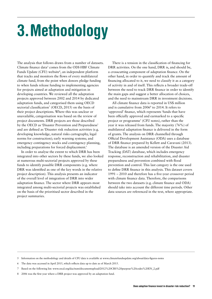# <span id="page-10-0"></span>3.Methodology

The analysis that follows draws from a number of datasets. Climate finance data<sup>5</sup> comes from the ODI-HBF Climate Funds Update (CFU) website<sup>6</sup>, an independent platform that tracks and monitors the flows of every multilateral climate fund, from the point when donors pledge funding to when funds release funding to implementing agencies for projects aimed at adaptation and mitigation in developing countries. We reviewed all the adaptation projects approved between 2002 and 2014 by dedicated adaptation funds, and categorised them using OECD sectorial classification<sup>7</sup> (OECD, 2015) on the basis of their project descriptions. Where this was unclear or unavailable, categorisation was based on the review of project documents. DRR projects are those described by the OECD as 'Disaster Prevention and Preparedness' and are defined as 'Disaster risk reduction activities (e.g. developing knowledge, natural risks cartography, legal norms for construction); early warning systems; and emergency contingency stocks and contingency planning, including preparations for forced displacement.'

In order to analyse the extent to which DRR has been integrated into other sectors by these funds, we also looked at numerous multi-sectorial projects approved by these funds to identify possible DRR components (e.g. where DRR was identified as one of the key words in the relative project description). This analysis presents an indicator of the overall level of integration of DRR into wider adaptation finance. The sector where DRR appears most integrated among multi-sectorial projects was established on the basis of the prioritised sector described in the project summaries.

There is a tension in the classification of financing for DRR activities. On the one hand, DRR is, and should be, a crosscutting component of adaptation finance. On the other hand, in order to quantify and track the amount of financing allocated to it, we need to classify it as a category of activity in and of itself. This reflects a broader trade-off between the need to track DRR finance in order to identify the main gaps and suggest a better allocation of choices, and the need to mainstream DRR in investment decisions.

All climate finance data is reported in US\$ million and is cumulative from 20068 to 2014. It refers to 'approved' finance, which represents 'funds that have been officially approved and earmarked to a specific project or programme' (CFU notes), rather than the year it was released from funds. The majority (76%) of multilateral adaptation finance is delivered in the form of grants. The analysis on DRR channelled through Official Development Assistance (ODA) uses a database of DRR finance prepared by Kellett and Caravani (2013). The database is an amended version of the Disaster Aid Tracking (DAT) database, which includes emergency response, reconstruction and rehabilitation, and disaster preparedness and prevention combined with flood prevention and control. This last category is the one used to define DRR finance in this analysis. This dataset covers 1991 – 2010 and therefore has a five-year crossover period with climate finance data. Therefore, the comparisons between the two datasets (e.g. climate finance and ODA) should take into account the different time periods. Other data sources are referenced in the text, where appropriate.

2006 was the first year where a DRR project was approved by an adaptation fund.

<sup>5</sup> Information on the methodology and details of CFU data is available at www.climatefundsupdate.org/about/data-figures-notes

<sup>6</sup> The data was accessed in April 2015, which reflects data up to date as of March 2015.

<sup>7</sup> Based on the following list: www.oecd.org/dac/stats/documentupload/2012%20CRS%20purpose%20codes%20EN\_2.pdf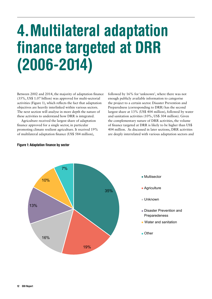## <span id="page-11-0"></span>4.Multilateral adaptation finance targeted at DRR (2006-2014)

Between 2002 and 2014, the majority of adaptation finance (35%, US\$ 1.07 billion) was approved for multi-sectorial activities (Figure 1), which reflects the fact that adaptation objectives are heavily interlinked within various sectors. The next section will analyse in more depth the nature of these activities to understand how DRR is integrated.

Agriculture received the largest share of adaptation finance approved for a single sector, in particular promoting climate resilient agriculture. It received 19% of multilateral adaptation finance (US\$ 584 million),

followed by 16% for 'unknown', where there was not enough publicly available information to categorise the project to a certain sector. Disaster Prevention and Preparedness (corresponding to DRR) has the second largest share at 13% (US\$ 404 million), followed by water and sanitation activities (10%, US\$ 304 million). Given the complementary nature of DRR activities, the volume of finance targeted at DRR is likely to be higher than US\$ 404 million. As discussed in later sections, DRR activities are deeply interrelated with various adaptation sectors and



#### Figure 1: Adaptation finance by sector

- Multisector
- **Agriculture**
- Unknown
- Disaster Prevention and Preparedeness
- **Water and sanitation**
- Other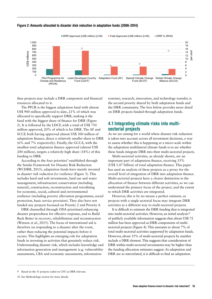

<span id="page-12-0"></span>

thus projects may include a DRR component and financial resources allocated to it.

The PPCR is the biggest adaptation fund with almost US\$ 900 million approved to date, 21% of which was allocated to specifically support DRR, making it the fund with the biggest share of finance for DRR (Figure 2). It is followed by the LDCF, with a total of US\$ 750 million approved, 20% of which is for DRR. The AF and SCCF, both having approved almost US\$ 300 million of adaptation finance, direct a relatively smaller share to DRR (6% and 7% respectively). Finally, the GCCA, with the smallest total adaptation finance approved (almost US\$ 200 million), targets a relatively high share (18%) of this funding to DRR.

According to the four priorities<sup>9</sup> established through the Sendai Framework for Disaster Risk Reduction (WCDRR, 2015), adaptation funds have mainly invested in *disaster risk reduction for resilience* (Figure 3). This includes hard and soft investments, land use and water management, infrastructure conservation (including natural), construction, reconstruction and retrofitting for economic, social, cultural and environmental resilience (including poverty alleviation programmes, social protection, basic service provision). They also have not funded any projects focussed on Priority 2 and Priority 4.

DRR channelled through ODA prioritised enhancing disaster preparedness for effective response, and to Build Back Better in recovery, rehabilitation and reconstruction (Watson et al., 2015). The focus of international aid is therefore on responding to a disaster after the event, rather than reducing the potential impacts before it occurs. This highlights an emerging role for adaptation funds in investing in activities that genuinely reduce risk. Understanding disaster risk, which includes knowledge and information generation and management (e.g. vulnerability assessments, CBA and economic assessments, information

systems), research, innovation, and technology transfer, is the second priority shared by both adaptation funds and the DRR community. The box below provides more detail on DRR projects funded through adaptation funds.

#### 4.1 Integrating climate risks into multisectorial projects

As we are aiming for a world where disaster risk reduction is taken into account across all investment decisions, a way to assess whether this is happening at a micro scale within the adaptation multilateral climate funds is to see whether these funds integrate DRR into their multi-sectorial projects.

Multi-sectorial activities, as already shown, are an important part of adaptation finance, receiving 35% (US\$ 1.07 billion) of total adaptation finance. This paper has used an analysis of these projects as a proxy for the overall level of integration of DRR into adaptation finance. Multi-sectorial projects have a clearer distinction in the allocation of finance between different activities, so we can understand the primary focus of the project, and the extent to which DRR activities are integrated.

However, this is by no means a perfect estimate, as projects with a single sectorial focus may integrate DRR activities in a different way to multi-sectorial projects.

It is difficult to estimate the DRR funding that is integrated into multi-sectorial activities. However, an initial analysis $10$ of publicly available information suggests that about US\$ 72 million has been approved as DRR components of multisectorial projects (Figure 4). This amounts to about 7% of total multi-sectorial activities supported by adaptation funds. However, about 35% of multi-sectorial projects by number include a DRR element. This suggests that consideration of DRR within multi-sectorial investments may be higher than the funding allocation estimates suggest. As adaptation and DRR are so interrelated, it is difficult to find an adaptation

<sup>9</sup> Based on the 51 projects coded on CFU as DRR relevant.

<sup>10</sup> See Methodology section for more details.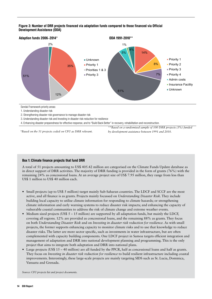#### <span id="page-13-0"></span>Figure 3: Number of DRR projects financed via adaptation funds compared to those financed via Official Development Assistance (ODA)



Sendai Framework priority areas:

1. Understanding disaster risk

2. Strengthening disaster risk governance to manage disaster risk

3. Understanding disaster risk and Investing in disaster risk reduction for resilience

4. Enhancing disaster preparedness for effective response, and to "Build Back Better" in recovery, rehabilitation and reconstruction.

*\*Based on the 51 projects coded on CFU as DRR relevant.*

*\*\*Based on a randomised sample of 100 DRR projects (3%) funded by development assistance between 1991 and 2010.*

#### Box 1: Climate finance projects that fund DRR

A total of 51 projects amounting to US\$ 405.42 million are categorised on the Climate Funds Update database as in direct support of DRR activities. The majority of DRR funding is provided in the form of grants (76%) with the remaining 24% as concessional loans. At an average project size of US\$ 7.95 million, they range from less than US\$ 1 million to US\$ 40 million each.

- **•** Small projects (up to US\$ 5 million) target mainly Sub-Saharan countries. The LDCF and SCCF are the most active, and all finance is as grants. Projects mainly focussed on *Understanding Disaster Risk*. They include building local capacity to utilise climate information for responding to climate hazards; or strengthening climate information and early warning systems to reduce disaster risk impacts; and enhancing the capacity of vulnerable coastal communities to address the risk of climate change and extreme weather events.
- Medium sized projects (US\$ 5 15 million) are supported by all adaptation funds, but mainly the LDCF, covering all regions. 12% are provided as concessional loans, and the remaining 88% as grants. They focus on both *Understanding Disaster Risk* and on *Investing in disaster risk reduction for resilience.* As with small projects, the former supports enhancing capacity to monitor climate risks and to use that knowledge to reduce disaster risks. The latter are more sector specific, such as investments in water infrastructure, but are often complemented with capacity building components. One LDCF project in Samoa targets efficient integration and management of adaptation and DRR into national development planning and programming. This is the only project that aims to integrate both adaptation and DRR into national plans.
- 11 these areas are 1. Understanding disaster respectively are in the theoretical disaster risk as  $\alpha$ . Investing  $\alpha$ improvements. Interestingly, these large-scale projects are mainly targeting SIDS such as St. Lucia, Dominica, **•** Large projects (US\$ 15 – 40 million) are all funded by the PPCR, half as concessional loans and half as grants. They focus on *Investing in disaster risk reduction for resilience* to build resilient infrastructure including coastal Vanuatu and Grenada.

*Source: CFU projects list and project documents.*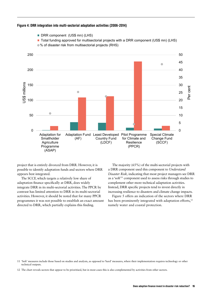<span id="page-14-0"></span>

project that is entirely divorced from DRR. However, it is possible to identify adaptation funds and sectors where DRR appears best integrated.

The SCCF, which targets a relatively low share of adaptation finance specifically at DRR, does widely integrate DRR in its multi-sectorial activities. The PPCR by contrast has limited attention to DRR in its multi-sectorial activities. However, it should be noted that for many PPCR programmes it was not possible to establish an exact amount directed to DRR, which partially explains this finding.

The majority (65%) of the multi-sectorial projects with a DRR component used this component to *Understand Disaster Risk,* indicating that most project managers see DRR as a 'soft' <sup>11</sup> component used to assess risks through studies to complement other more technical adaptation activities. Instead, DRR specific projects tend to invest directly in increasing resilience to disasters and climate change impacts.

Figure 5 offers an indication of the sectors where DRR has been prominently integrated with adaptation efforts,<sup>12</sup> namely water and coastal protection.

<sup>11</sup> 'Soft' measures include those based on studies and analysis, as opposed to 'hard' measures, where their implementation requires technology or other technical outputs.

<sup>12</sup> The chart reveals sectors that appear to be prioritised, but in most cases this is also complemented by activities from other sectors.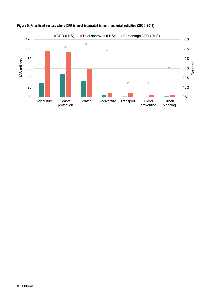

#### <span id="page-15-0"></span>Figure 5: Prioritised sectors where DRR is most integrated in multi-sectorial activities (2006-2014)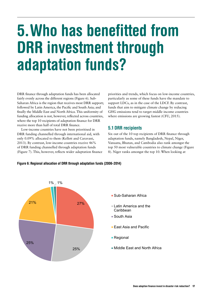## <span id="page-16-0"></span>5.Who has benefitted from DRR investment through adaptation funds?

DRR finance through adaptation funds has been allocated fairly evenly across the different regions (Figure 6). Sub-Saharan Africa is the region that receives most DRR support; followed by Latin America, the Pacific and South Asia; and finally the Middle East and North Africa. This uniformity of funding allocation is not, however, reflected across countries, where the top 10 recipients of adaptation finance for DRR receive more than half of total DRR finance.

Low-income countries have not been prioritised in DRR funding channelled through international aid, with only 0.09% allocated to them (Kellett and Caravani, 2013). By contrast, low-income countries receive 46% of DRR funding channelled through adaptation funds (Figure 7). This, however, reflects wider adaptation finance

priorities and trends, which focus on low-income countries, particularly as some of these funds have the mandate to support LDCs, as in the case of the LDCF. By contrast, funds that aim to mitigate climate change by reducing GHG emissions tend to target middle income countries where emissions are growing fastest (CFU, 2015).

#### 5.1 DRR recipients

Six out of the 10 top recipients of DRR finance through adaptation funds, namely Bangladesh, Nepal, Niger, Vanuatu, Bhutan, and Cambodia also rank amongst the top 50 most vulnerable countries to climate change (Figure 8). Niger ranks amongst the top 10. When looking at



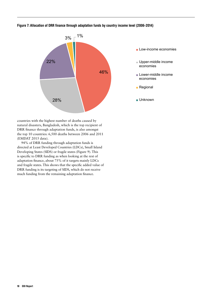#### <span id="page-17-0"></span>Figure 7: Allocation of DRR finance through adaptation funds by country income level (2006-2014)



countries with the highest number of deaths caused by natural disasters, Bangladesh, which is the top recipient of DRR finance through adaptation funds, is also amongst the top 10 countries: 6,500 deaths between 2006 and 2011 (EMDAT 2015 data).

94% of DRR funding through adaptation funds is directed at Least Developed Countries (LDCs), Small Island Developing States (SIDS) or fragile states (Figure 9). This is specific to DRR funding as when looking at the rest of adaptation finance, about 75% of it targets mainly LDCs and fragile states. This shows that the specific added value of DRR funding is its targeting of SIDS, which do not receive much funding from the remaining adaptation finance.

- **Low-income economies**
- Upper-middle income economies
- **Lower-middle income** economies
- **Regional**
- **Unknown**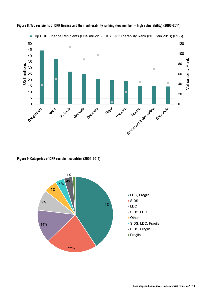

Figure 8: Top recipients of DRR finance and their vulnerability ranking (low number = high vulnerability) (2006-2014)

Figure 9: Categories of DRR recipient countries (2006-2014)





- SIDS
- ■LDC
- SIDS, LDC
- Other
- **SIDS, LDC, Fragile**
- SIDS, Fragile
- Fragile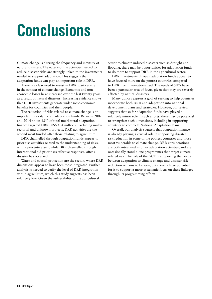## <span id="page-19-0"></span>Conclusions

Climate change is altering the frequency and intensity of natural disasters. The nature of the activities needed to reduce disaster risks are strongly linked to the investments needed to support adaptation. This suggests that adaptation funds can play an important role in DRR.

There is a clear need to invest in DRR, particularly in the context of climate change. Economic and noneconomic losses have increased over the last twenty years as a result of natural disasters. Increasing evidence shows that DRR investments generate wider socio-economic benefits for countries and their people.

The reduction of risks related to climate change is an important priority for all adaptation funds. Between 2002 and 2014 about 13% of total multilateral adaptation finance targeted DRR (US\$ 404 million). Excluding multisectorial and unknown projects, DRR activities are the second most funded after those relating to agriculture.

DRR channelled through adaptation funds appear to prioritise activities related to the understanding of risks, with a preventive aim; while DRR channelled through international aid prioritises effective responses, after a disaster has occurred.

Water and coastal protection are the sectors where DRR dimensions appear to have been most integrated. Further analysis is needed to verify the level of DRR integration within agriculture, which this study suggests has been relatively low. Given the vulnerability of the agricultural

sector to climate-induced disasters such as drought and flooding, there may be opportunities for adaptation funds to do more to support DRR in the agricultural sector.

DRR investments through adaptation funds appear to have focused more on the poorest countries compared to DRR from international aid. The needs of SIDS have been a particular area of focus, given that they are severely affected by natural disasters.

Many donors express a goal of seeking to help countries incorporate both DRR and adaptation into national development plans and strategies. However, our review suggests that so far adaptation funds have played a relatively minor role in such efforts: there may be potential to strengthen such dimensions, including in supporting countries to complete National Adaptation Plans.

Overall, our analysis suggests that adaptation finance is already playing a crucial role in supporting disaster risk reduction in some of the poorest countries and those most vulnerable to climate change. DRR considerations are both integrated in other adaptation activities, and are occasionally stand-alone programmes that target climate related risk. The role of the GCF in supporting the nexus between adaptation to climate change and disaster risk reduction remains to be seen, but there is huge potential for it to support a more systematic focus on these linkages through its programming efforts.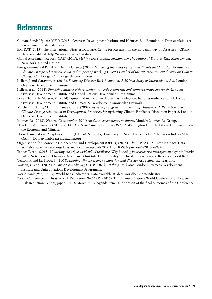### <span id="page-20-0"></span>References

- Climate Funds Update (CFU) (2015). Overseas Development Institute and Heinrich Böll Foundation. Data available at: [www.climatefundsupdate.org](http://www.climatefundsupdate.org)
- EM-DAT (2015). The International Disaster Database. Centre for Research on the Epidemiology of Disasters CRED. Data available at: <http://www.emdat.be/database>
- Global Assessment Report (GAR) (2015). *Making Development Sustainable: The Future of Disaster Risk Management.*  New York: United Nations.
- Intergovernmental Panel on Climate Change (2012). *Managing the Risks of Extreme Events and Disasters to Advance Climate Change Adaptation. A Special Report of Working Groups I and II of the Intergovernmental Panel on Climate Change.* Cambridge: Cambridge University Press.
- Kellett, J. and Caravani, A. (2013). *Financing Disaster Risk Reduction: A 20 Year Story of International Aid.* London: Overseas Development Institute.
- Kellett, et al. (2014). *Financing disaster risk reduction: towards a coherent and comprehensive approach.* London: Overseas Development Institute and United Nations Development Programme.
- Lovell, E. and le Masson, V. (2014) Equity and inclusion in disaster risk reduction: building resilience for all. London: Overseas Development Institute and Climate & Development Knowledge Network.
- Mitchell, T. Aalst, M. and Villanueva, P. S. (2008). *Assessing Progress on Integrating Disaster Risk Reduction and Climate Change Adaptation in Development Processes.* Strengthening Climate Resilience Discussion Paper 2. London: Overseas Development Institute

Munich Re (2013). *Natural Catastrophes 2013: Analyses, assessments, positions*. Munich: Munich Re Group.

- New Climate Economy (NCE) (2014). *The New Climate Economy Report*. Washington DC: The Global Commission on the Economy and Climate.
- Notre Dame Global Adaptation Index (ND GAIN) (2015). University of Notre Dame Global Adaptation Index (ND-GAIN). Data available at: [index.gain.org](http://index.gain.org/)
- Organisation for Economic Co-operation and Development (OECD) (2014). *The List of CRS Purpose Codes*. Data available at: www.oecd.org/dac/stats/documentupload/2012%20CRS%20purpose%20codes%20EN\_2.pdf
- Tanner, T. et al. (2015). *Unlocking the 'triple dividend' of resilience: Why investing in disaster risk management pays off*. Interim Policy Note. London: Overseas Development Institute, Global Facility for Disaster Reduction and Recovery, World Bank.

Venton, P. and La Trobe, S. (2008). *Linking climate change adaptation and disaster risk reduction*. Tearfund.

Watson, C. et al. (2015). *Finance for Reducing Disaster Risk: 10 things to know.* London: Overseas Development Institute and United Nations Development Programme.

World Bank (WB) (2015). World Bank Indicators. Data available at: [data.worldbank.org/indicator](http://data.worldbank.org/indicator)

World Conference on Disaster Risk Reduction (WCDRR) (2015). Third United Nations World Conference on Disaster Risk Reduction. Sendai, Japan, 14-18 March 2015. Agenda item 11. Adoption of the final outcomes of the Conference.